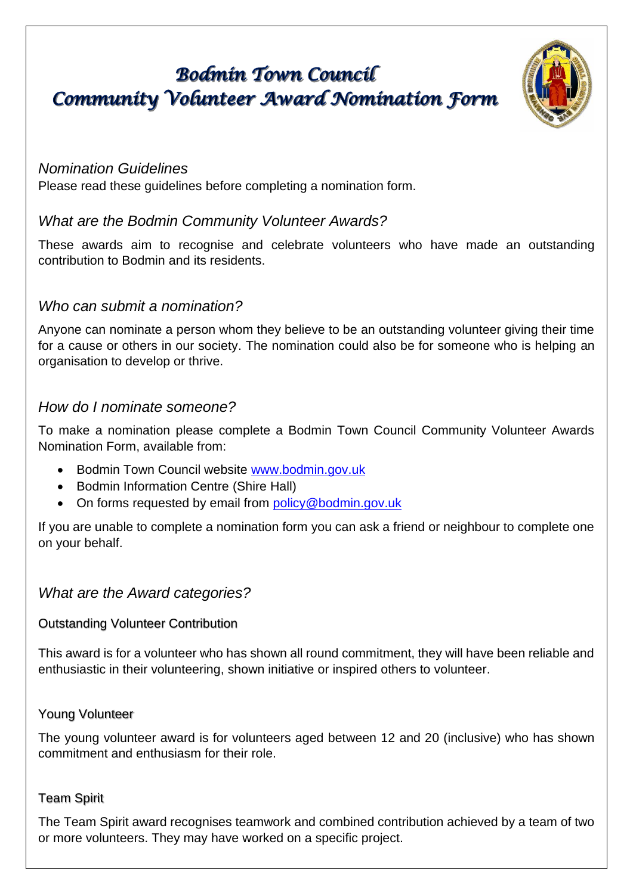# **Bodmin Town Council** Community Volunteer Award Nomination Form



## *Nomination Guidelines*

Please read these guidelines before completing a nomination form.

# *What are the Bodmin Community Volunteer Awards?*

These awards aim to recognise and celebrate volunteers who have made an outstanding contribution to Bodmin and its residents.

## *Who can submit a nomination?*

Anyone can nominate a person whom they believe to be an outstanding volunteer giving their time for a cause or others in our society. The nomination could also be for someone who is helping an organisation to develop or thrive.

## *How do I nominate someone?*

To make a nomination please complete a Bodmin Town Council Community Volunteer Awards Nomination Form, available from:

- Bodmin Town Council website [www.bodmin.gov.uk](http://www.bodmin.gov.uk/)
- Bodmin Information Centre (Shire Hall)
- On forms requested by email from [policy@bodmin.gov.uk](mailto:policy@bodmin.gov.uk)

If you are unable to complete a nomination form you can ask a friend or neighbour to complete one on your behalf.

## *What are the Award categories?*

## Outstanding Volunteer Contribution

This award is for a volunteer who has shown all round commitment, they will have been reliable and enthusiastic in their volunteering, shown initiative or inspired others to volunteer.

## Young Volunteer

The young volunteer award is for volunteers aged between 12 and 20 (inclusive) who has shown commitment and enthusiasm for their role.

#### Team Spirit

The Team Spirit award recognises teamwork and combined contribution achieved by a team of two or more volunteers. They may have worked on a specific project.